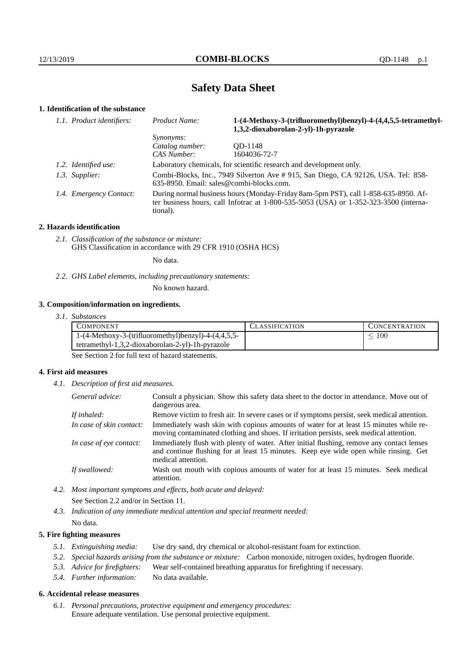# **Safety Data Sheet**

## **1. Identification of the substance**

| 1.1. Product identifiers: | Product Name:                                                                                                                                                                               | 1-(4-Methoxy-3-(trifluoromethyl)benzyl)-4-(4,4,5,5-tetramethyl-<br>1,3,2-dioxaborolan-2-yl)-1h-pyrazole |
|---------------------------|---------------------------------------------------------------------------------------------------------------------------------------------------------------------------------------------|---------------------------------------------------------------------------------------------------------|
|                           | <i>Synonyms:</i>                                                                                                                                                                            |                                                                                                         |
|                           | Catalog number:                                                                                                                                                                             | OD-1148                                                                                                 |
|                           | CAS Number:                                                                                                                                                                                 | 1604036-72-7                                                                                            |
| 1.2. Identified use:      | Laboratory chemicals, for scientific research and development only.                                                                                                                         |                                                                                                         |
| 1.3. Supplier:            | Combi-Blocks, Inc., 7949 Silverton Ave # 915, San Diego, CA 92126, USA. Tel: 858-<br>$635-8950$ . Email: sales@combi-blocks.com.                                                            |                                                                                                         |
| 1.4. Emergency Contact:   | During normal business hours (Monday-Friday 8am-5pm PST), call 1-858-635-8950. Af-<br>ter business hours, call Infotrac at $1-800-535-5053$ (USA) or $1-352-323-3500$ (interna-<br>tional). |                                                                                                         |

#### **2. Hazards identification**

*2.1. Classification of the substance or mixture:* GHS Classification in accordance with 29 CFR 1910 (OSHA HCS)

No data.

*2.2. GHS Label elements, including precautionary statements:*

No known hazard.

### **3. Composition/information on ingredients.**

*3.1. Substances*

| COMPONENT                                             | <b>CLASSIFICATION</b> | <b>CONCENTRATION</b> |
|-------------------------------------------------------|-----------------------|----------------------|
| $1-(4-Methoxy-3-(trifluorometry1)benzy1)-4-(4,4,5,5-$ |                       | 100                  |
| tetramethyl-1,3,2-dioxaborolan-2-yl)-1h-pyrazole      |                       |                      |
|                                                       |                       |                      |

See Section 2 for full text of hazard statements.

#### **4. First aid measures**

*4.1. Description of first aid measures.*

| General advice:          | Consult a physician. Show this safety data sheet to the doctor in attendance. Move out of<br>dangerous area.                                                                                            |
|--------------------------|---------------------------------------------------------------------------------------------------------------------------------------------------------------------------------------------------------|
| If inhaled:              | Remove victim to fresh air. In severe cases or if symptoms persist, seek medical attention.                                                                                                             |
| In case of skin contact: | Immediately wash skin with copious amounts of water for at least 15 minutes while re-<br>moving contaminated clothing and shoes. If irritation persists, seek medical attention.                        |
| In case of eye contact:  | Immediately flush with plenty of water. After initial flushing, remove any contact lenses<br>and continue flushing for at least 15 minutes. Keep eye wide open while rinsing. Get<br>medical attention. |
| If swallowed:            | Wash out mouth with copious amounts of water for at least 15 minutes. Seek medical<br>attention.                                                                                                        |

- *4.2. Most important symptoms and effects, both acute and delayed:* See Section 2.2 and/or in Section 11.
- *4.3. Indication of any immediate medical attention and special treatment needed:* No data.

### **5. Fire fighting measures**

- *5.1. Extinguishing media:* Use dry sand, dry chemical or alcohol-resistant foam for extinction.
- *5.2. Special hazards arising from the substance or mixture:* Carbon monoxide, nitrogen oxides, hydrogen fluoride.
- *5.3. Advice for firefighters:* Wear self-contained breathing apparatus for firefighting if necessary.
- *5.4. Further information:* No data available.

## **6. Accidental release measures**

*6.1. Personal precautions, protective equipment and emergency procedures:* Ensure adequate ventilation. Use personal protective equipment.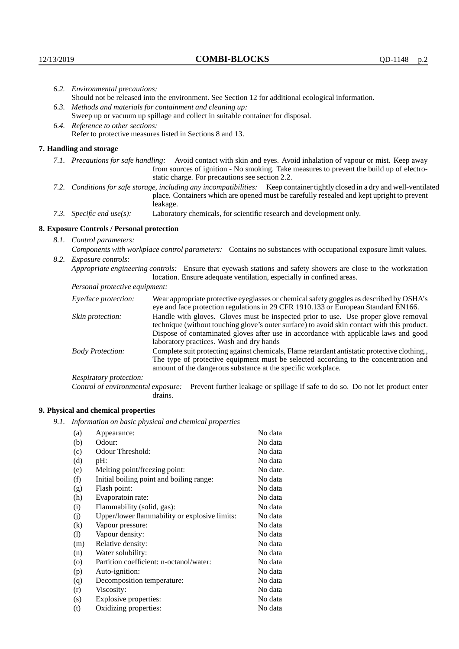| 6.2. Environmental precautions:                                                                                                                                                                                                                                    |                                                                                                                                                                                                                                                                                                                        |  |
|--------------------------------------------------------------------------------------------------------------------------------------------------------------------------------------------------------------------------------------------------------------------|------------------------------------------------------------------------------------------------------------------------------------------------------------------------------------------------------------------------------------------------------------------------------------------------------------------------|--|
|                                                                                                                                                                                                                                                                    | Should not be released into the environment. See Section 12 for additional ecological information.                                                                                                                                                                                                                     |  |
| 6.3. Methods and materials for containment and cleaning up:                                                                                                                                                                                                        |                                                                                                                                                                                                                                                                                                                        |  |
|                                                                                                                                                                                                                                                                    | Sweep up or vacuum up spillage and collect in suitable container for disposal.                                                                                                                                                                                                                                         |  |
| 6.4. Reference to other sections:                                                                                                                                                                                                                                  |                                                                                                                                                                                                                                                                                                                        |  |
| Refer to protective measures listed in Sections 8 and 13.                                                                                                                                                                                                          |                                                                                                                                                                                                                                                                                                                        |  |
| 7. Handling and storage                                                                                                                                                                                                                                            |                                                                                                                                                                                                                                                                                                                        |  |
| 7.1. Precautions for safe handling: Avoid contact with skin and eyes. Avoid inhalation of vapour or mist. Keep away<br>from sources of ignition - No smoking. Take measures to prevent the build up of electro-<br>static charge. For precautions see section 2.2. |                                                                                                                                                                                                                                                                                                                        |  |
|                                                                                                                                                                                                                                                                    | 7.2. Conditions for safe storage, including any incompatibilities: Keep container tightly closed in a dry and well-ventilated<br>place. Containers which are opened must be carefully resealed and kept upright to prevent<br>leakage.                                                                                 |  |
| 7.3. Specific end use(s):                                                                                                                                                                                                                                          | Laboratory chemicals, for scientific research and development only.                                                                                                                                                                                                                                                    |  |
| 8. Exposure Controls / Personal protection                                                                                                                                                                                                                         |                                                                                                                                                                                                                                                                                                                        |  |
| 8.1. Control parameters:                                                                                                                                                                                                                                           |                                                                                                                                                                                                                                                                                                                        |  |
| Components with workplace control parameters: Contains no substances with occupational exposure limit values.                                                                                                                                                      |                                                                                                                                                                                                                                                                                                                        |  |
| 8.2. Exposure controls:                                                                                                                                                                                                                                            |                                                                                                                                                                                                                                                                                                                        |  |
|                                                                                                                                                                                                                                                                    | Appropriate engineering controls: Ensure that eyewash stations and safety showers are close to the workstation<br>location. Ensure adequate ventilation, especially in confined areas.                                                                                                                                 |  |
| Personal protective equipment:                                                                                                                                                                                                                                     |                                                                                                                                                                                                                                                                                                                        |  |
| Eye/face protection:                                                                                                                                                                                                                                               | Wear appropriate protective eyeglasses or chemical safety goggles as described by OSHA's<br>eye and face protection regulations in 29 CFR 1910.133 or European Standard EN166.                                                                                                                                         |  |
| Skin protection:                                                                                                                                                                                                                                                   | Handle with gloves. Gloves must be inspected prior to use. Use proper glove removal<br>technique (without touching glove's outer surface) to avoid skin contact with this product.<br>Dispose of contaminated gloves after use in accordance with applicable laws and good<br>laboratory practices. Wash and dry hands |  |
| <b>Body Protection:</b>                                                                                                                                                                                                                                            | Complete suit protecting against chemicals, Flame retardant antistatic protective clothing.,<br>The type of protective equipment must be selected according to the concentration and<br>amount of the dangerous substance at the specific workplace.                                                                   |  |
| Respiratory protection:                                                                                                                                                                                                                                            |                                                                                                                                                                                                                                                                                                                        |  |

Control of environmental exposure: Prevent further leakage or spillage if safe to do so. Do not let product enter drains.

# **9. Physical and chemical properties**

*9.1. Information on basic physical and chemical properties*

| (a)                        | Appearance:                                   | No data  |
|----------------------------|-----------------------------------------------|----------|
| (b)                        | Odour:                                        | No data  |
| (c)                        | Odour Threshold:                              | No data  |
| (d)                        | $pH$ :                                        | No data  |
| (e)                        | Melting point/freezing point:                 | No date. |
| (f)                        | Initial boiling point and boiling range:      | No data  |
| (g)                        | Flash point:                                  | No data  |
| (h)                        | Evaporatoin rate:                             | No data  |
| (i)                        | Flammability (solid, gas):                    | No data  |
| (j)                        | Upper/lower flammability or explosive limits: | No data  |
| $\left( k\right)$          | Vapour pressure:                              | No data  |
| $\left( \mathrm{l}\right)$ | Vapour density:                               | No data  |
| (m)                        | Relative density:                             | No data  |
| (n)                        | Water solubility:                             | No data  |
| $\rm (o)$                  | Partition coefficient: n-octanol/water:       | No data  |
| (p)                        | Auto-ignition:                                | No data  |
| (q)                        | Decomposition temperature:                    | No data  |
| (r)                        | Viscosity:                                    | No data  |
| (s)                        | Explosive properties:                         | No data  |
| (t)                        | Oxidizing properties:                         | No data  |